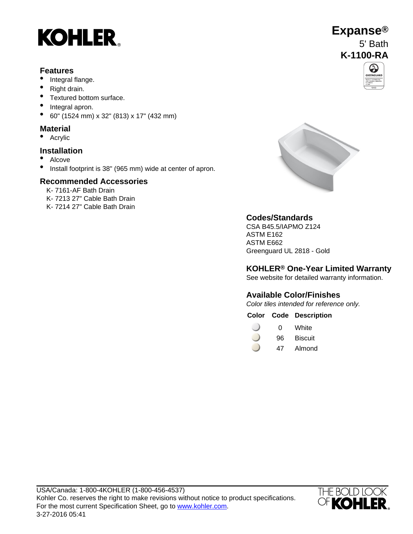# **KOHLER**

#### **Features**

- Integral flange.
- Right drain.
- Textured bottom surface.
- Integral apron.
- 60" (1524 mm) x 32" (813) x 17" (432 mm)

#### **Material**

• Acrylic

#### **Installation**

- Alcove
- Install footprint is 38" (965 mm) wide at center of apron.

#### **Recommended Accessories**

K- 7161-AF Bath Drain K- 7213 27" Cable Bath Drain K- 7214 27" Cable Bath Drain



### **Codes/Standards**

CSA B45.5/IAPMO Z124 ASTM E162 ASTM E662 Greenguard UL 2818 - Gold

#### **KOHLER® One-Year Limited Warranty**

See website for detailed warranty information.

### **Available Color/Finishes**

Color tiles intended for reference only.

#### **Color Code Description**

- 0 White
- 96 Biscuit
- 47 Almond



## **Expanse®** 5' Bath **K-1100-RA**